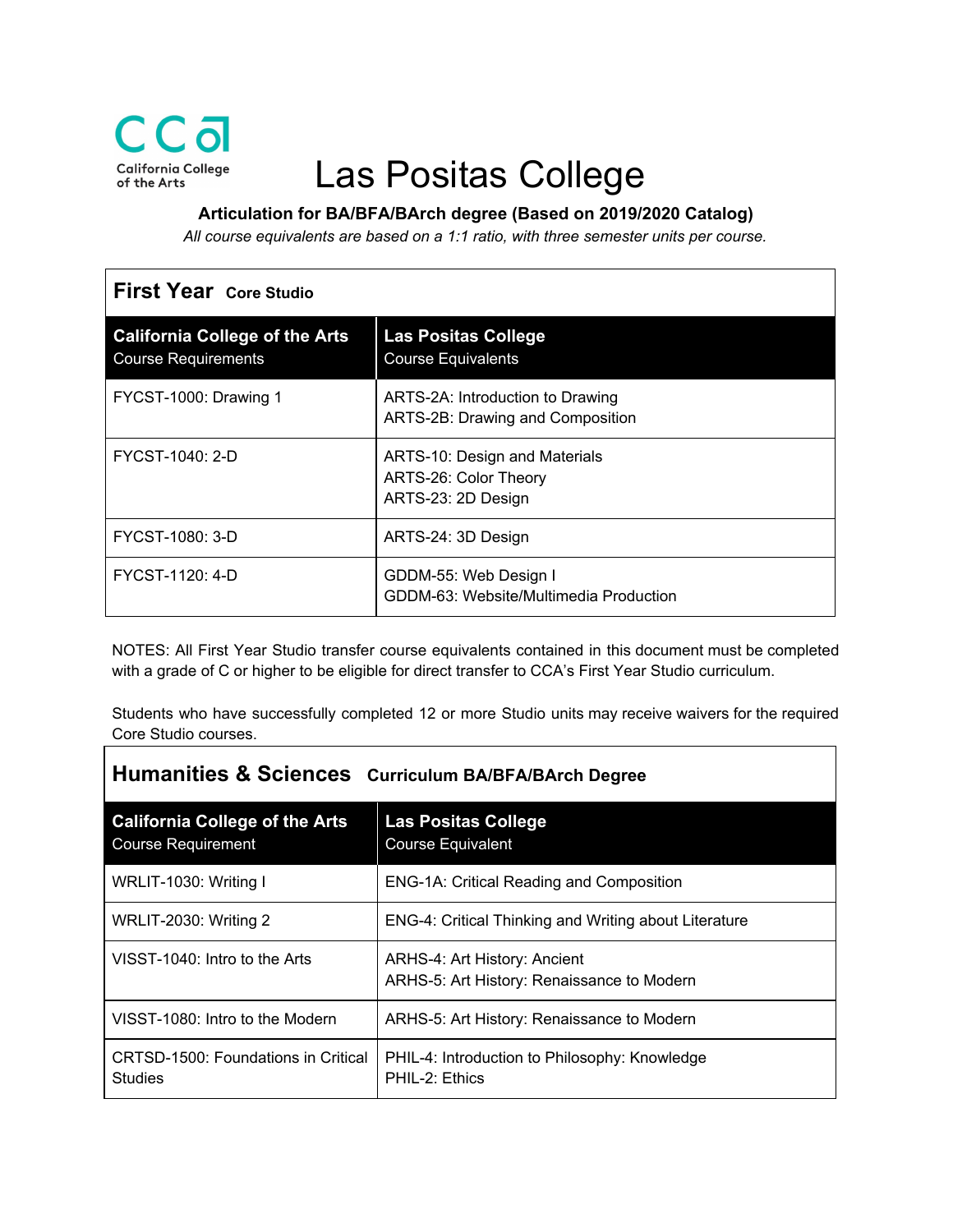

## Las Positas College

**Articulation for BA/BFA/BArch degree (Based on 2019/2020 Catalog)**

*All course equivalents are based on a 1:1 ratio, with three semester units per course.*

| <b>First Year Core Studio</b>                                       |                                                                              |  |
|---------------------------------------------------------------------|------------------------------------------------------------------------------|--|
| <b>California College of the Arts</b><br><b>Course Requirements</b> | <b>Las Positas College</b><br><b>Course Equivalents</b>                      |  |
| FYCST-1000: Drawing 1                                               | ARTS-2A: Introduction to Drawing<br>ARTS-2B: Drawing and Composition         |  |
| FYCST-1040: 2-D                                                     | ARTS-10: Design and Materials<br>ARTS-26: Color Theory<br>ARTS-23: 2D Design |  |
| FYCST-1080: 3-D                                                     | ARTS-24: 3D Design                                                           |  |
| FYCST-1120: 4-D                                                     | GDDM-55: Web Design I<br>GDDM-63: Website/Multimedia Production              |  |

NOTES: All First Year Studio transfer course equivalents contained in this document must be completed with a grade of C or higher to be eligible for direct transfer to CCA's First Year Studio curriculum.

Students who have successfully completed 12 or more Studio units may receive waivers for the required Core Studio courses.

| <b>Humanities &amp; Sciences</b> Curriculum BA/BFA/BArch Degree    |                                                                            |  |
|--------------------------------------------------------------------|----------------------------------------------------------------------------|--|
| <b>California College of the Arts</b><br><b>Course Requirement</b> | <b>Las Positas College</b><br><b>Course Equivalent</b>                     |  |
| WRLIT-1030: Writing I                                              | <b>ENG-1A: Critical Reading and Composition</b>                            |  |
| <b>WRLIT-2030: Writing 2</b>                                       | ENG-4: Critical Thinking and Writing about Literature                      |  |
| VISST-1040: Intro to the Arts                                      | ARHS-4: Art History: Ancient<br>ARHS-5: Art History: Renaissance to Modern |  |
| VISST-1080: Intro to the Modern                                    | ARHS-5: Art History: Renaissance to Modern                                 |  |
| CRTSD-1500: Foundations in Critical<br><b>Studies</b>              | PHIL-4: Introduction to Philosophy: Knowledge<br>PHIL-2: Ethics            |  |